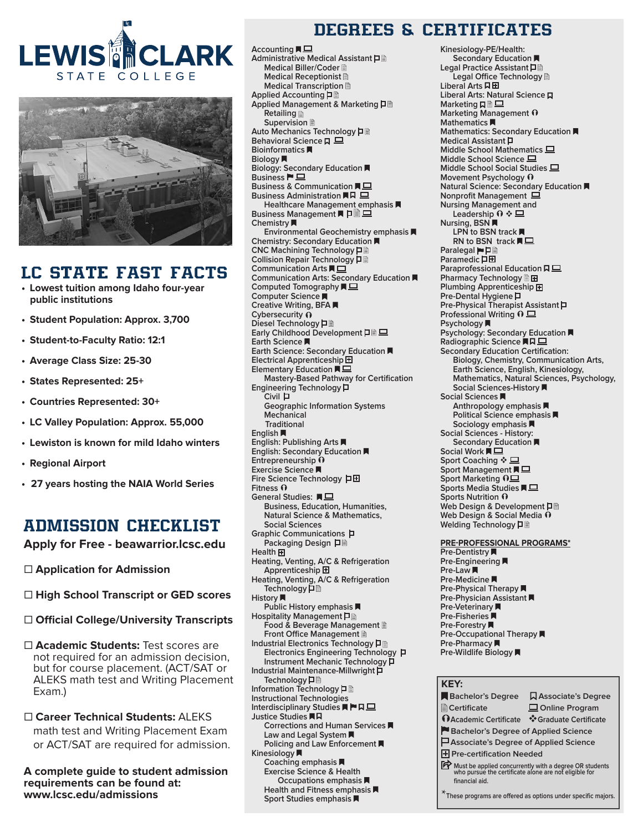



## LC STATE FAST FACTS

- **• Lowest tuition among Idaho four-year public institutions**
- **• Student Population: Approx. 3,700**
- **• Student-to-Faculty Ratio: 12:1**
- **• Average Class Size: 25-30**
- **• States Represented: 25+**
- **• Countries Represented: 30+**
- **• LC Valley Population: Approx. 55,000**
- **• Lewiston is known for mild Idaho winters**
- **• Regional Airport**
- **• 27 years hosting the NAIA World Series**

## ADMISSION CHECKLIST

**Apply for Free - beawarrior.lcsc.edu**

- □ **Application for Admission**
- □ High School Transcript or GED scores
- □ Official College/University Transcripts
- □ **Academic Students:** Test scores are not required for an admission decision, but for course placement. (ACT/SAT or ALEKS math test and Writing Placement Exam.)
- □ Career Technical Students: ALEKS math test and Writing Placement Exam or ACT/SAT are required for admission.

**A complete guide to student admission requirements can be found at: www.lcsc.edu/admissions**

## DEGREES & CERTIFICATES

Accounting **■ Administrative Medical Assistant Medical Biller/Coder Medical Receptionist Medical Transcription Applied Accounting Applied Management & Marketing Retailing Supervision Auto Mechanics Technology Behavioral Science 口 Bioinformatics Biology Biology: Secondary Education Business Business & Communication Business Administration Healthcare Management emphasis Business Management ■ 口 Chemistry Environmental Geochemistry emphasis Chemistry: Secondary Education CNC Machining Technology Collision Repair Technology Communication Arts Communication Arts: Secondary Education Computed Tomography Computer Science Creative Writing, BFA Cybersecurity Diesel Technology** 日 **Early Childhood Development 口 Earth Science Earth Science: Secondary Education Electrical Apprenticeship Elementary Education Mastery-Based Pathway for Certification Engineering Technology Civil Geographic Information Systems Mechanical Traditional English English: Publishing Arts English: Secondary Education Entrepreneurship Exercise Science Fire Science Technology Fitness General Studies: Business, Education, Humanities, Natural Science & Mathematics, Social Sciences Graphic Communications Packaging Design Health** 田 **Heating, Venting, A/C & Refrigeration Apprenticeship Heating, Venting, A/C & Refrigeration Technology History Public History emphasis Hospitality Management Food & Beverage Management Front Office Management Industrial Electronics Technology Electronics Engineering Technology Instrument Mechanic Technology Industrial Maintenance-Millwright Technology Information Technology Instructional Technologies Interdisciplinary Studies Justice Studies Corrections and Human Services Law and Legal System Policing and Law Enforcement Kinesiology Coaching emphasis Exercise Science & Health Occupations emphasis Health and Fitness emphasis** 

**Sport Studies emphasis** 

**Kinesiology-PE/Health: Secondary Education Legal Practice Assistant Legal Office Technology Liberal Arts Liberal Arts: Natural Science Marketing** 口 **Marketing Management Mathematics Mathematics: Secondary Education Medical Assistant Middle School Mathematics Middle School Science Middle School Social Studies Movement Psychology Natural Science: Secondary Education Nonprofit Management Nursing Management and**  Leadership 0  $\div$  **二 Nursing, BSN LPN to BSN track**  RN to BSN track **同**旦 **Paralegal** ▶□ **Paramedic** 口田 **Paraprofessional Education Pharmacy Technology Plumbing Apprenticeship Pre-Dental Hygiene Pre-Physical Therapist Assistant Professional Writing**  $\overline{0} \sqsubseteq$ **Psychology Psychology: Secondary Education Radiographic Science Secondary Education Certification: Biology, Chemistry, Communication Arts, Earth Science, English, Kinesiology, Mathematics, Natural Sciences, Psychology, Social Sciences-History Social Sciences Anthropology emphasis Political Science emphasis Sociology emphasis Social Sciences - History: Secondary Education Social Work Sport Coaching ❖ Sport Management** ■ □ **Sport Marketing Sports Media Studies Sports Nutrition Web Design & Development Web Design & Social Media Welding Technology PRE-PROFESSIONAL PROGRAMS\* Pre-Dentistry Pre-Engineering Pre-Law Pre-Medicine Pre-Physical Therapy Pre-Physician Assistant** 

**Pre-Veterinary Pre-Fisheries Pre-Forestry Pre-Occupational Therapy Pre-Pharmacy Pre-Wildlife Biology** 

#### **KEY:**

| <b>Bachelor's Degree</b>                                                                                                                     | <b>QAssociate's Degree</b>                                  |  |
|----------------------------------------------------------------------------------------------------------------------------------------------|-------------------------------------------------------------|--|
| <b>■ Certificate</b>                                                                                                                         | $\Box$ Online Program                                       |  |
| <b>DAcademic Certificate</b>                                                                                                                 | ❖ Graduate Certificate                                      |  |
| Bachelor's Degree of Applied Science                                                                                                         |                                                             |  |
| $\Box$ Associate's Degree of Applied Science                                                                                                 |                                                             |  |
| <b>H</b> Pre-certification Needed                                                                                                            |                                                             |  |
| <b>For</b> Must be applied concurrently with a degree OR students<br>who pursue the certificate alone are not eligible for<br>financial aid. |                                                             |  |
|                                                                                                                                              | These programs are offered as options under specific majors |  |